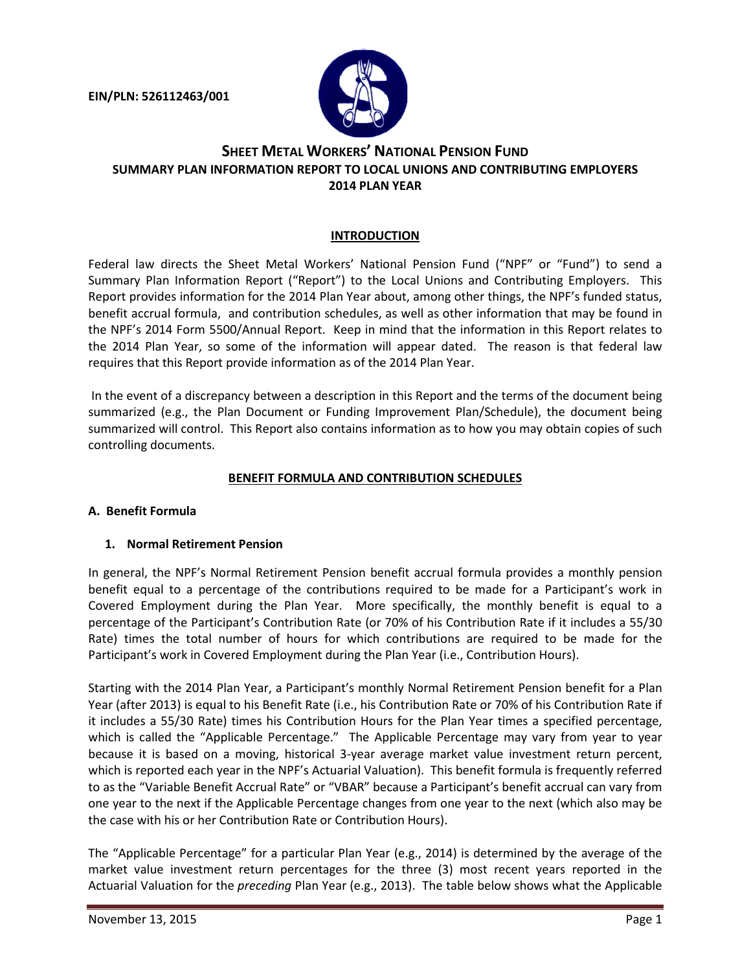**EIN/PLN: 526112463/001**



# **SHEET METAL WORKERS' NATIONAL PENSION FUND SUMMARY PLAN INFORMATION REPORT TO LOCAL UNIONS AND CONTRIBUTING EMPLOYERS 2014 PLAN YEAR**

### **INTRODUCTION**

Federal law directs the Sheet Metal Workers' National Pension Fund ("NPF" or "Fund") to send a Summary Plan Information Report ("Report") to the Local Unions and Contributing Employers. This Report provides information for the 2014 Plan Year about, among other things, the NPF's funded status, benefit accrual formula, and contribution schedules, as well as other information that may be found in the NPF's 2014 Form 5500/Annual Report. Keep in mind that the information in this Report relates to the 2014 Plan Year, so some of the information will appear dated. The reason is that federal law requires that this Report provide information as of the 2014 Plan Year.

In the event of a discrepancy between a description in this Report and the terms of the document being summarized (e.g., the Plan Document or Funding Improvement Plan/Schedule), the document being summarized will control. This Report also contains information as to how you may obtain copies of such controlling documents.

#### **BENEFIT FORMULA AND CONTRIBUTION SCHEDULES**

#### **A. Benefit Formula**

#### **1. Normal Retirement Pension**

In general, the NPF's Normal Retirement Pension benefit accrual formula provides a monthly pension benefit equal to a percentage of the contributions required to be made for a Participant's work in Covered Employment during the Plan Year. More specifically, the monthly benefit is equal to a percentage of the Participant's Contribution Rate (or 70% of his Contribution Rate if it includes a 55/30 Rate) times the total number of hours for which contributions are required to be made for the Participant's work in Covered Employment during the Plan Year (i.e., Contribution Hours).

Starting with the 2014 Plan Year, a Participant's monthly Normal Retirement Pension benefit for a Plan Year (after 2013) is equal to his Benefit Rate (i.e., his Contribution Rate or 70% of his Contribution Rate if it includes a 55/30 Rate) times his Contribution Hours for the Plan Year times a specified percentage, which is called the "Applicable Percentage." The Applicable Percentage may vary from year to year because it is based on a moving, historical 3-year average market value investment return percent, which is reported each year in the NPF's Actuarial Valuation). This benefit formula is frequently referred to as the "Variable Benefit Accrual Rate" or "VBAR" because a Participant's benefit accrual can vary from one year to the next if the Applicable Percentage changes from one year to the next (which also may be the case with his or her Contribution Rate or Contribution Hours).

The "Applicable Percentage" for a particular Plan Year (e.g., 2014) is determined by the average of the market value investment return percentages for the three (3) most recent years reported in the Actuarial Valuation for the *preceding* Plan Year (e.g., 2013). The table below shows what the Applicable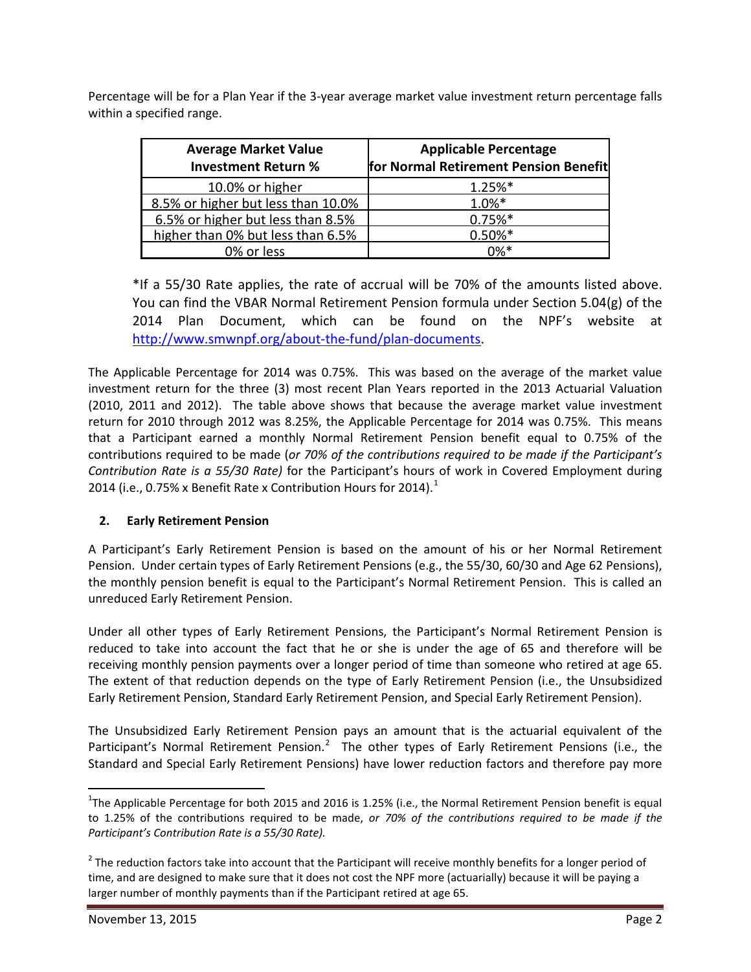Percentage will be for a Plan Year if the 3-year average market value investment return percentage falls within a specified range.

| <b>Average Market Value</b><br><b>Investment Return %</b> | <b>Applicable Percentage</b><br>for Normal Retirement Pension Benefit |
|-----------------------------------------------------------|-----------------------------------------------------------------------|
| 10.0% or higher                                           | $1.25%$ *                                                             |
| 8.5% or higher but less than 10.0%                        | $1.0%$ *                                                              |
| 6.5% or higher but less than 8.5%                         | $0.75%$ *                                                             |
| higher than 0% but less than 6.5%                         | $0.50\%$ *                                                            |
| 0% or less                                                | በ%*                                                                   |

\*If a 55/30 Rate applies, the rate of accrual will be 70% of the amounts listed above. You can find the VBAR Normal Retirement Pension formula under Section 5.04(g) of the 2014 Plan Document, which can be found on the NPF's website at [http://www.smwnpf.org/about-the-fund/plan-documents.](http://www.smwnpf.org/about-the-fund/plan-documents)

The Applicable Percentage for 2014 was 0.75%. This was based on the average of the market value investment return for the three (3) most recent Plan Years reported in the 2013 Actuarial Valuation (2010, 2011 and 2012). The table above shows that because the average market value investment return for 2010 through 2012 was 8.25%, the Applicable Percentage for 2014 was 0.75%. This means that a Participant earned a monthly Normal Retirement Pension benefit equal to 0.75% of the contributions required to be made (*or 70% of the contributions required to be made if the Participant's Contribution Rate is a 55/30 Rate)* for the Participant's hours of work in Covered Employment during 20[1](#page-1-0)4 (i.e., 0.75% x Benefit Rate x Contribution Hours for 2014).<sup>1</sup>

# **2. Early Retirement Pension**

A Participant's Early Retirement Pension is based on the amount of his or her Normal Retirement Pension. Under certain types of Early Retirement Pensions (e.g., the 55/30, 60/30 and Age 62 Pensions), the monthly pension benefit is equal to the Participant's Normal Retirement Pension. This is called an unreduced Early Retirement Pension.

Under all other types of Early Retirement Pensions, the Participant's Normal Retirement Pension is reduced to take into account the fact that he or she is under the age of 65 and therefore will be receiving monthly pension payments over a longer period of time than someone who retired at age 65. The extent of that reduction depends on the type of Early Retirement Pension (i.e., the Unsubsidized Early Retirement Pension, Standard Early Retirement Pension, and Special Early Retirement Pension).

The Unsubsidized Early Retirement Pension pays an amount that is the actuarial equivalent of the Participant's Normal Retirement Pension.<sup>[2](#page-1-1)</sup> The other types of Early Retirement Pensions (i.e., the Standard and Special Early Retirement Pensions) have lower reduction factors and therefore pay more

<span id="page-1-0"></span> $\frac{1}{1}$ <sup>1</sup>The Applicable Percentage for both 2015 and 2016 is 1.25% (i.e., the Normal Retirement Pension benefit is equal to 1.25% of the contributions required to be made, *or 70% of the contributions required to be made if the Participant's Contribution Rate is a 55/30 Rate).*

<span id="page-1-1"></span> $2$  The reduction factors take into account that the Participant will receive monthly benefits for a longer period of time, and are designed to make sure that it does not cost the NPF more (actuarially) because it will be paying a larger number of monthly payments than if the Participant retired at age 65.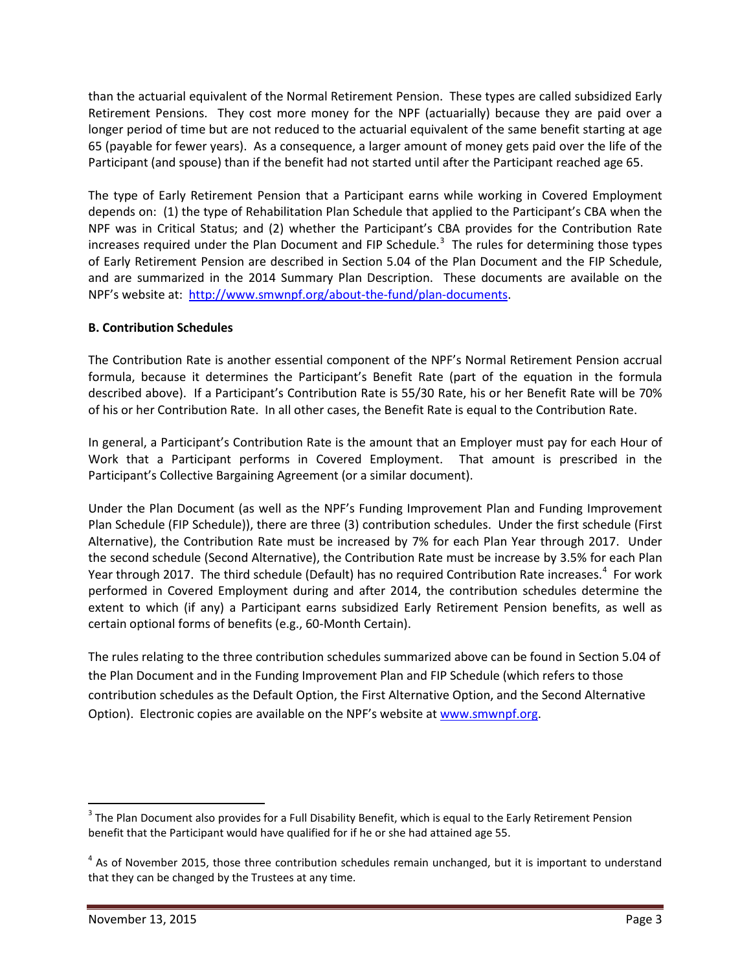than the actuarial equivalent of the Normal Retirement Pension. These types are called subsidized Early Retirement Pensions. They cost more money for the NPF (actuarially) because they are paid over a longer period of time but are not reduced to the actuarial equivalent of the same benefit starting at age 65 (payable for fewer years). As a consequence, a larger amount of money gets paid over the life of the Participant (and spouse) than if the benefit had not started until after the Participant reached age 65.

The type of Early Retirement Pension that a Participant earns while working in Covered Employment depends on: (1) the type of Rehabilitation Plan Schedule that applied to the Participant's CBA when the NPF was in Critical Status; and (2) whether the Participant's CBA provides for the Contribution Rate increases required under the Plan Document and FIP Schedule.<sup>[3](#page-2-0)</sup> The rules for determining those types of Early Retirement Pension are described in Section 5.04 of the Plan Document and the FIP Schedule, and are summarized in the 2014 Summary Plan Description. These documents are available on the NPF's website at: [http://www.smwnpf.org/about-the-fund/plan-documents.](http://www.smwnpf.org/about-the-fund/plan-documents)

# **B. Contribution Schedules**

The Contribution Rate is another essential component of the NPF's Normal Retirement Pension accrual formula, because it determines the Participant's Benefit Rate (part of the equation in the formula described above). If a Participant's Contribution Rate is 55/30 Rate, his or her Benefit Rate will be 70% of his or her Contribution Rate. In all other cases, the Benefit Rate is equal to the Contribution Rate.

In general, a Participant's Contribution Rate is the amount that an Employer must pay for each Hour of Work that a Participant performs in Covered Employment. That amount is prescribed in the Participant's Collective Bargaining Agreement (or a similar document).

Under the Plan Document (as well as the NPF's Funding Improvement Plan and Funding Improvement Plan Schedule (FIP Schedule)), there are three (3) contribution schedules. Under the first schedule (First Alternative), the Contribution Rate must be increased by 7% for each Plan Year through 2017. Under the second schedule (Second Alternative), the Contribution Rate must be increase by 3.5% for each Plan Year through 2017. The third schedule (Default) has no required Contribution Rate increases.<sup>[4](#page-2-1)</sup> For work performed in Covered Employment during and after 2014, the contribution schedules determine the extent to which (if any) a Participant earns subsidized Early Retirement Pension benefits, as well as certain optional forms of benefits (e.g., 60-Month Certain).

The rules relating to the three contribution schedules summarized above can be found in Section 5.04 of the Plan Document and in the Funding Improvement Plan and FIP Schedule (which refers to those contribution schedules as the Default Option, the First Alternative Option, and the Second Alternative Option). Electronic copies are available on the NPF's website at [www.smwnpf.org.](http://www.smwnpf.org/)

<span id="page-2-0"></span> $3$  The Plan Document also provides for a Full Disability Benefit, which is equal to the Early Retirement Pension benefit that the Participant would have qualified for if he or she had attained age 55.

<span id="page-2-1"></span> $4$  As of November 2015, those three contribution schedules remain unchanged, but it is important to understand that they can be changed by the Trustees at any time.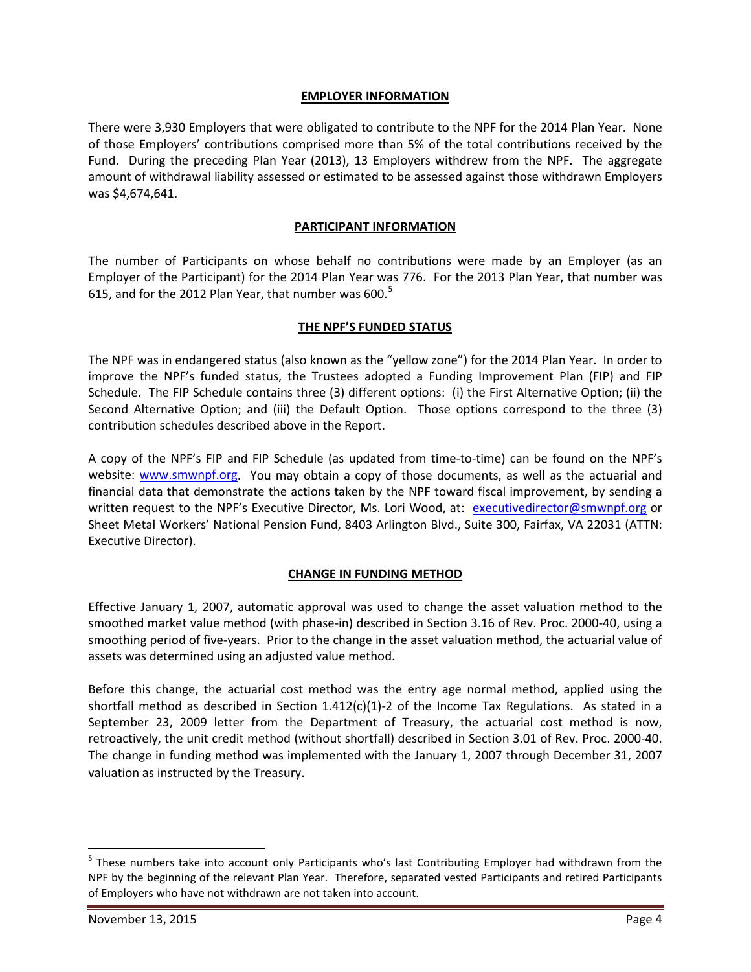#### **EMPLOYER INFORMATION**

There were 3,930 Employers that were obligated to contribute to the NPF for the 2014 Plan Year. None of those Employers' contributions comprised more than 5% of the total contributions received by the Fund. During the preceding Plan Year (2013), 13 Employers withdrew from the NPF. The aggregate amount of withdrawal liability assessed or estimated to be assessed against those withdrawn Employers was \$4,674,641.

#### **PARTICIPANT INFORMATION**

The number of Participants on whose behalf no contributions were made by an Employer (as an Employer of the Participant) for the 2014 Plan Year was 776. For the 2013 Plan Year, that number was 61[5](#page-3-0), and for the 2012 Plan Year, that number was 600.<sup>5</sup>

### **THE NPF'S FUNDED STATUS**

The NPF was in endangered status (also known as the "yellow zone") for the 2014 Plan Year. In order to improve the NPF's funded status, the Trustees adopted a Funding Improvement Plan (FIP) and FIP Schedule. The FIP Schedule contains three (3) different options: (i) the First Alternative Option; (ii) the Second Alternative Option; and (iii) the Default Option. Those options correspond to the three (3) contribution schedules described above in the Report.

A copy of the NPF's FIP and FIP Schedule (as updated from time-to-time) can be found on the NPF's website: [www.smwnpf.org.](http://www.smwnpf.org/) You may obtain a copy of those documents, as well as the actuarial and financial data that demonstrate the actions taken by the NPF toward fiscal improvement, by sending a written request to the NPF's Executive Director, Ms. Lori Wood, at: [executivedirector@smwnpf.org](mailto:executivedirector@smwnpf.org) or Sheet Metal Workers' National Pension Fund, 8403 Arlington Blvd., Suite 300, Fairfax, VA 22031 (ATTN: Executive Director).

# **CHANGE IN FUNDING METHOD**

Effective January 1, 2007, automatic approval was used to change the asset valuation method to the smoothed market value method (with phase-in) described in Section 3.16 of Rev. Proc. 2000-40, using a smoothing period of five-years. Prior to the change in the asset valuation method, the actuarial value of assets was determined using an adjusted value method.

Before this change, the actuarial cost method was the entry age normal method, applied using the shortfall method as described in Section  $1.412(c)(1)-2$  of the Income Tax Regulations. As stated in a September 23, 2009 letter from the Department of Treasury, the actuarial cost method is now, retroactively, the unit credit method (without shortfall) described in Section 3.01 of Rev. Proc. 2000-40. The change in funding method was implemented with the January 1, 2007 through December 31, 2007 valuation as instructed by the Treasury.

<span id="page-3-0"></span> <sup>5</sup> These numbers take into account only Participants who's last Contributing Employer had withdrawn from the NPF by the beginning of the relevant Plan Year. Therefore, separated vested Participants and retired Participants of Employers who have not withdrawn are not taken into account.